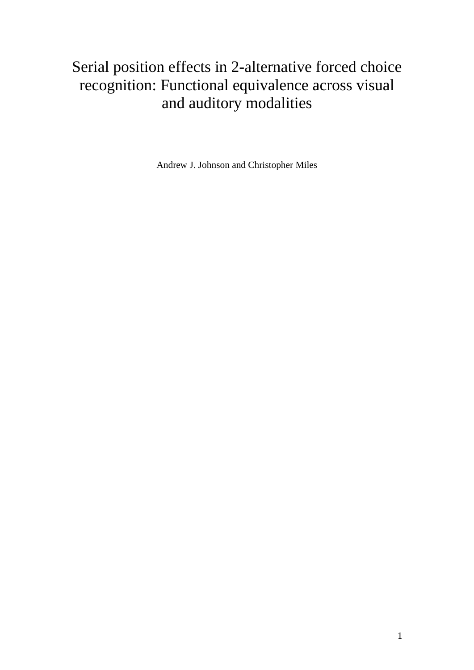# Serial position effects in 2-alternative forced choice recognition: Functional equivalence across visual and auditory modalities

Andrew J. Johnson and Christopher Miles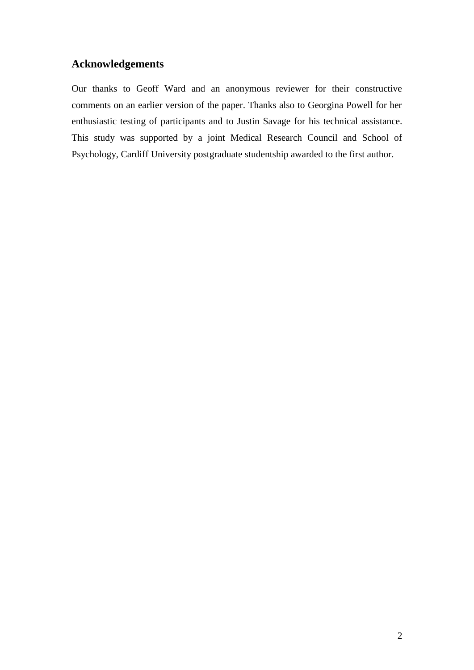## **Acknowledgements**

Our thanks to Geoff Ward and an anonymous reviewer for their constructive comments on an earlier version of the paper. Thanks also to Georgina Powell for her enthusiastic testing of participants and to Justin Savage for his technical assistance. This study was supported by a joint Medical Research Council and School of Psychology, Cardiff University postgraduate studentship awarded to the first author.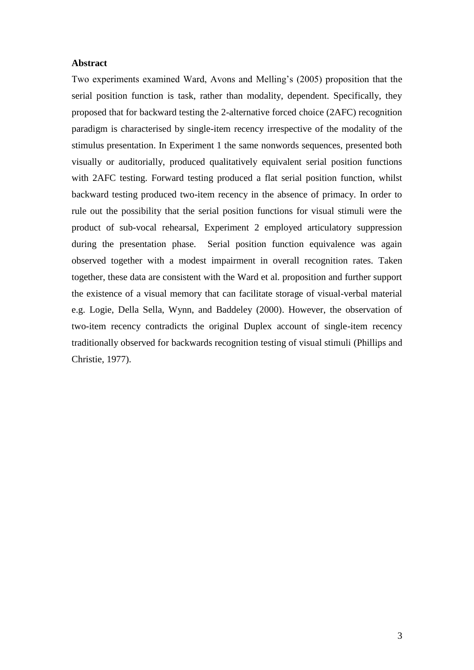#### **Abstract**

Two experiments examined Ward, Avons and Melling's (2005) proposition that the serial position function is task, rather than modality, dependent. Specifically, they proposed that for backward testing the 2-alternative forced choice (2AFC) recognition paradigm is characterised by single-item recency irrespective of the modality of the stimulus presentation. In Experiment 1 the same nonwords sequences, presented both visually or auditorially, produced qualitatively equivalent serial position functions with 2AFC testing. Forward testing produced a flat serial position function, whilst backward testing produced two-item recency in the absence of primacy. In order to rule out the possibility that the serial position functions for visual stimuli were the product of sub-vocal rehearsal, Experiment 2 employed articulatory suppression during the presentation phase. Serial position function equivalence was again observed together with a modest impairment in overall recognition rates. Taken together, these data are consistent with the Ward et al. proposition and further support the existence of a visual memory that can facilitate storage of visual-verbal material e.g. Logie, Della Sella, Wynn, and Baddeley (2000). However, the observation of two-item recency contradicts the original Duplex account of single-item recency traditionally observed for backwards recognition testing of visual stimuli (Phillips and Christie, 1977).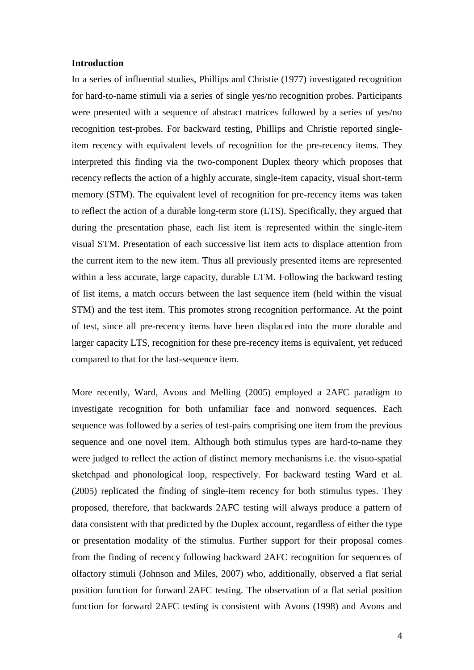#### **Introduction**

In a series of influential studies, Phillips and Christie (1977) investigated recognition for hard-to-name stimuli via a series of single yes/no recognition probes. Participants were presented with a sequence of abstract matrices followed by a series of yes/no recognition test-probes. For backward testing, Phillips and Christie reported singleitem recency with equivalent levels of recognition for the pre-recency items. They interpreted this finding via the two-component Duplex theory which proposes that recency reflects the action of a highly accurate, single-item capacity, visual short-term memory (STM). The equivalent level of recognition for pre-recency items was taken to reflect the action of a durable long-term store (LTS). Specifically, they argued that during the presentation phase, each list item is represented within the single-item visual STM. Presentation of each successive list item acts to displace attention from the current item to the new item. Thus all previously presented items are represented within a less accurate, large capacity, durable LTM. Following the backward testing of list items, a match occurs between the last sequence item (held within the visual STM) and the test item. This promotes strong recognition performance. At the point of test, since all pre-recency items have been displaced into the more durable and larger capacity LTS, recognition for these pre-recency items is equivalent, yet reduced compared to that for the last-sequence item.

More recently, Ward, Avons and Melling (2005) employed a 2AFC paradigm to investigate recognition for both unfamiliar face and nonword sequences. Each sequence was followed by a series of test-pairs comprising one item from the previous sequence and one novel item. Although both stimulus types are hard-to-name they were judged to reflect the action of distinct memory mechanisms i.e. the visuo-spatial sketchpad and phonological loop, respectively. For backward testing Ward et al. (2005) replicated the finding of single-item recency for both stimulus types. They proposed, therefore, that backwards 2AFC testing will always produce a pattern of data consistent with that predicted by the Duplex account, regardless of either the type or presentation modality of the stimulus. Further support for their proposal comes from the finding of recency following backward 2AFC recognition for sequences of olfactory stimuli (Johnson and Miles, 2007) who, additionally, observed a flat serial position function for forward 2AFC testing. The observation of a flat serial position function for forward 2AFC testing is consistent with Avons (1998) and Avons and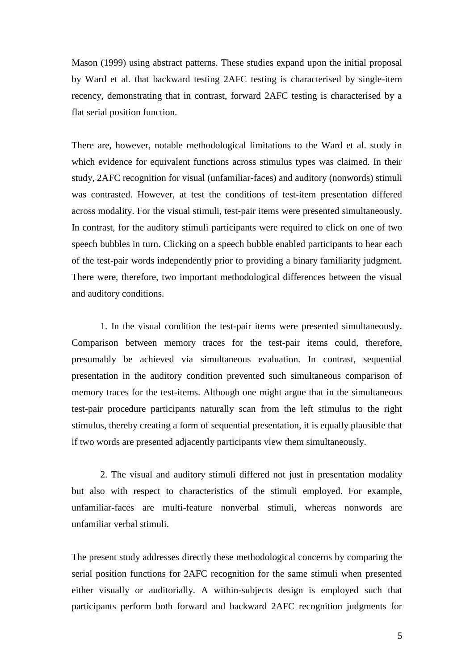Mason (1999) using abstract patterns. These studies expand upon the initial proposal by Ward et al. that backward testing 2AFC testing is characterised by single-item recency, demonstrating that in contrast, forward 2AFC testing is characterised by a flat serial position function.

There are, however, notable methodological limitations to the Ward et al. study in which evidence for equivalent functions across stimulus types was claimed. In their study, 2AFC recognition for visual (unfamiliar-faces) and auditory (nonwords) stimuli was contrasted. However, at test the conditions of test-item presentation differed across modality. For the visual stimuli, test-pair items were presented simultaneously. In contrast, for the auditory stimuli participants were required to click on one of two speech bubbles in turn. Clicking on a speech bubble enabled participants to hear each of the test-pair words independently prior to providing a binary familiarity judgment. There were, therefore, two important methodological differences between the visual and auditory conditions.

1. In the visual condition the test-pair items were presented simultaneously. Comparison between memory traces for the test-pair items could, therefore, presumably be achieved via simultaneous evaluation. In contrast, sequential presentation in the auditory condition prevented such simultaneous comparison of memory traces for the test-items. Although one might argue that in the simultaneous test-pair procedure participants naturally scan from the left stimulus to the right stimulus, thereby creating a form of sequential presentation, it is equally plausible that if two words are presented adjacently participants view them simultaneously.

2. The visual and auditory stimuli differed not just in presentation modality but also with respect to characteristics of the stimuli employed. For example, unfamiliar-faces are multi-feature nonverbal stimuli, whereas nonwords are unfamiliar verbal stimuli.

The present study addresses directly these methodological concerns by comparing the serial position functions for 2AFC recognition for the same stimuli when presented either visually or auditorially. A within-subjects design is employed such that participants perform both forward and backward 2AFC recognition judgments for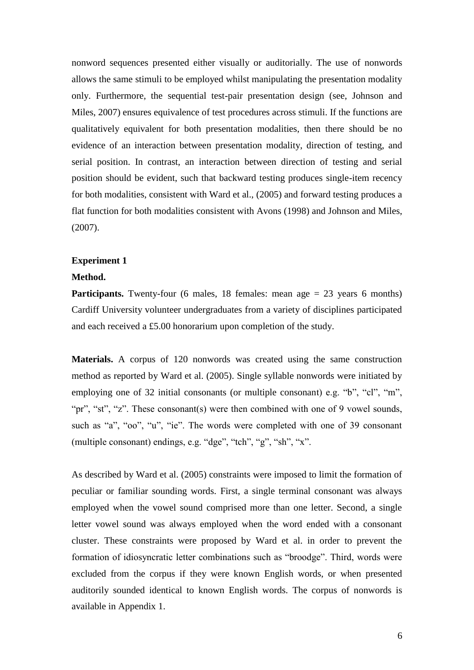nonword sequences presented either visually or auditorially. The use of nonwords allows the same stimuli to be employed whilst manipulating the presentation modality only. Furthermore, the sequential test-pair presentation design (see, Johnson and Miles, 2007) ensures equivalence of test procedures across stimuli. If the functions are qualitatively equivalent for both presentation modalities, then there should be no evidence of an interaction between presentation modality, direction of testing, and serial position. In contrast, an interaction between direction of testing and serial position should be evident, such that backward testing produces single-item recency for both modalities, consistent with Ward et al., (2005) and forward testing produces a flat function for both modalities consistent with Avons (1998) and Johnson and Miles, (2007).

#### **Experiment 1**

#### **Method.**

**Participants.** Twenty-four (6 males, 18 females: mean age  $= 23$  years 6 months) Cardiff University volunteer undergraduates from a variety of disciplines participated and each received a £5.00 honorarium upon completion of the study.

**Materials.** A corpus of 120 nonwords was created using the same construction method as reported by Ward et al. (2005). Single syllable nonwords were initiated by employing one of 32 initial consonants (or multiple consonant) e.g. "b", "cl", "m", "pr", "st", "z". These consonant(s) were then combined with one of 9 vowel sounds, such as "a", "oo", "u", "ie". The words were completed with one of 39 consonant (multiple consonant) endings, e.g. "dge", "tch", "g", "sh", "x".

As described by Ward et al. (2005) constraints were imposed to limit the formation of peculiar or familiar sounding words. First, a single terminal consonant was always employed when the vowel sound comprised more than one letter. Second, a single letter vowel sound was always employed when the word ended with a consonant cluster. These constraints were proposed by Ward et al. in order to prevent the formation of idiosyncratic letter combinations such as "broodge". Third, words were excluded from the corpus if they were known English words, or when presented auditorily sounded identical to known English words. The corpus of nonwords is available in Appendix 1.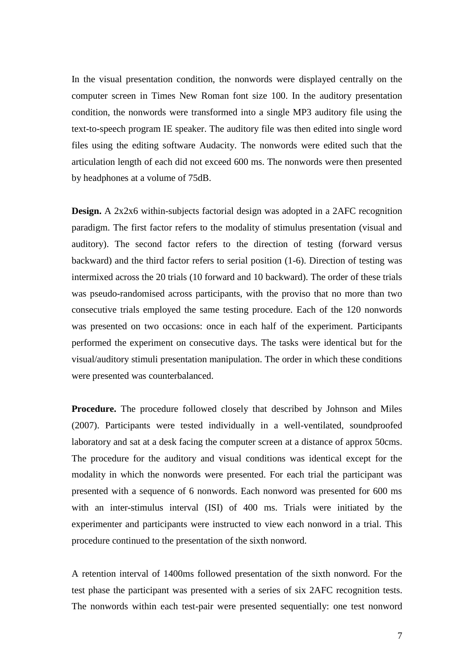In the visual presentation condition, the nonwords were displayed centrally on the computer screen in Times New Roman font size 100. In the auditory presentation condition, the nonwords were transformed into a single MP3 auditory file using the text-to-speech program IE speaker. The auditory file was then edited into single word files using the editing software Audacity. The nonwords were edited such that the articulation length of each did not exceed 600 ms. The nonwords were then presented by headphones at a volume of 75dB.

**Design.** A 2x2x6 within-subjects factorial design was adopted in a 2AFC recognition paradigm. The first factor refers to the modality of stimulus presentation (visual and auditory). The second factor refers to the direction of testing (forward versus backward) and the third factor refers to serial position (1-6). Direction of testing was intermixed across the 20 trials (10 forward and 10 backward). The order of these trials was pseudo-randomised across participants, with the proviso that no more than two consecutive trials employed the same testing procedure. Each of the 120 nonwords was presented on two occasions: once in each half of the experiment. Participants performed the experiment on consecutive days. The tasks were identical but for the visual/auditory stimuli presentation manipulation. The order in which these conditions were presented was counterbalanced.

**Procedure.** The procedure followed closely that described by Johnson and Miles (2007). Participants were tested individually in a well-ventilated, soundproofed laboratory and sat at a desk facing the computer screen at a distance of approx 50cms. The procedure for the auditory and visual conditions was identical except for the modality in which the nonwords were presented. For each trial the participant was presented with a sequence of 6 nonwords. Each nonword was presented for 600 ms with an inter-stimulus interval (ISI) of 400 ms. Trials were initiated by the experimenter and participants were instructed to view each nonword in a trial. This procedure continued to the presentation of the sixth nonword.

A retention interval of 1400ms followed presentation of the sixth nonword. For the test phase the participant was presented with a series of six 2AFC recognition tests. The nonwords within each test-pair were presented sequentially: one test nonword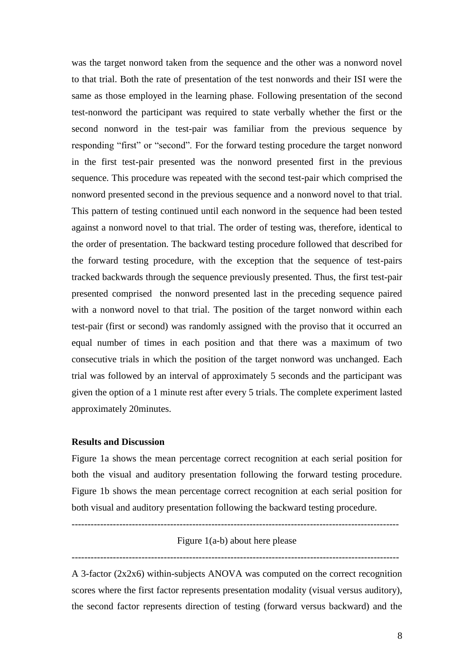was the target nonword taken from the sequence and the other was a nonword novel to that trial. Both the rate of presentation of the test nonwords and their ISI were the same as those employed in the learning phase. Following presentation of the second test-nonword the participant was required to state verbally whether the first or the second nonword in the test-pair was familiar from the previous sequence by responding "first" or "second". For the forward testing procedure the target nonword in the first test-pair presented was the nonword presented first in the previous sequence. This procedure was repeated with the second test-pair which comprised the nonword presented second in the previous sequence and a nonword novel to that trial. This pattern of testing continued until each nonword in the sequence had been tested against a nonword novel to that trial. The order of testing was, therefore, identical to the order of presentation. The backward testing procedure followed that described for the forward testing procedure, with the exception that the sequence of test-pairs tracked backwards through the sequence previously presented. Thus, the first test-pair presented comprised the nonword presented last in the preceding sequence paired with a nonword novel to that trial. The position of the target nonword within each test-pair (first or second) was randomly assigned with the proviso that it occurred an equal number of times in each position and that there was a maximum of two consecutive trials in which the position of the target nonword was unchanged. Each trial was followed by an interval of approximately 5 seconds and the participant was given the option of a 1 minute rest after every 5 trials. The complete experiment lasted approximately 20minutes.

#### **Results and Discussion**

Figure 1a shows the mean percentage correct recognition at each serial position for both the visual and auditory presentation following the forward testing procedure. Figure 1b shows the mean percentage correct recognition at each serial position for both visual and auditory presentation following the backward testing procedure.

-------------------------------------------------------------------------------------------------------

# Figure 1(a-b) about here please -------------------------------------------------------------------------------------------------------

A 3-factor (2x2x6) within-subjects ANOVA was computed on the correct recognition scores where the first factor represents presentation modality (visual versus auditory), the second factor represents direction of testing (forward versus backward) and the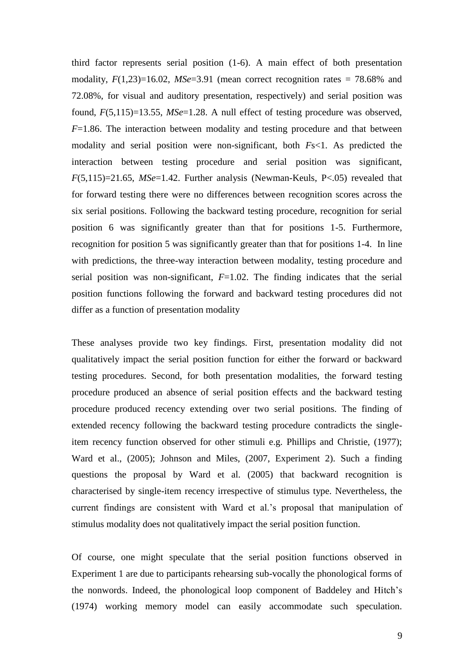third factor represents serial position (1-6). A main effect of both presentation modality, *F*(1,23)=16.02, *MSe*=3.91 (mean correct recognition rates = 78.68% and 72.08%, for visual and auditory presentation, respectively) and serial position was found, *F*(5,115)=13.55, *MSe*=1.28. A null effect of testing procedure was observed, *F*=1.86. The interaction between modality and testing procedure and that between modality and serial position were non-significant, both *F*s<1. As predicted the interaction between testing procedure and serial position was significant, *F*(5,115)=21.65, *MSe*=1.42. Further analysis (Newman-Keuls, P<.05) revealed that for forward testing there were no differences between recognition scores across the six serial positions. Following the backward testing procedure, recognition for serial position 6 was significantly greater than that for positions 1-5. Furthermore, recognition for position 5 was significantly greater than that for positions 1-4. In line with predictions, the three-way interaction between modality, testing procedure and serial position was non-significant, *F*=1.02. The finding indicates that the serial position functions following the forward and backward testing procedures did not differ as a function of presentation modality

These analyses provide two key findings. First, presentation modality did not qualitatively impact the serial position function for either the forward or backward testing procedures. Second, for both presentation modalities, the forward testing procedure produced an absence of serial position effects and the backward testing procedure produced recency extending over two serial positions. The finding of extended recency following the backward testing procedure contradicts the singleitem recency function observed for other stimuli e.g. Phillips and Christie, (1977); Ward et al., (2005); Johnson and Miles, (2007, Experiment 2). Such a finding questions the proposal by Ward et al. (2005) that backward recognition is characterised by single-item recency irrespective of stimulus type. Nevertheless, the current findings are consistent with Ward et al.'s proposal that manipulation of stimulus modality does not qualitatively impact the serial position function.

Of course, one might speculate that the serial position functions observed in Experiment 1 are due to participants rehearsing sub-vocally the phonological forms of the nonwords. Indeed, the phonological loop component of Baddeley and Hitch's (1974) working memory model can easily accommodate such speculation.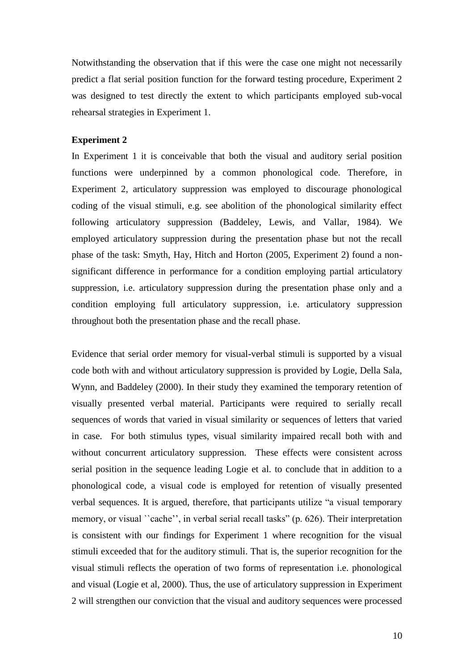Notwithstanding the observation that if this were the case one might not necessarily predict a flat serial position function for the forward testing procedure, Experiment 2 was designed to test directly the extent to which participants employed sub-vocal rehearsal strategies in Experiment 1.

#### **Experiment 2**

In Experiment 1 it is conceivable that both the visual and auditory serial position functions were underpinned by a common phonological code. Therefore, in Experiment 2, articulatory suppression was employed to discourage phonological coding of the visual stimuli, e.g. see abolition of the phonological similarity effect following articulatory suppression (Baddeley, Lewis, and Vallar, 1984). We employed articulatory suppression during the presentation phase but not the recall phase of the task: Smyth, Hay, Hitch and Horton (2005, Experiment 2) found a nonsignificant difference in performance for a condition employing partial articulatory suppression, i.e. articulatory suppression during the presentation phase only and a condition employing full articulatory suppression, i.e. articulatory suppression throughout both the presentation phase and the recall phase.

Evidence that serial order memory for visual-verbal stimuli is supported by a visual code both with and without articulatory suppression is provided by Logie, Della Sala, Wynn, and Baddeley (2000). In their study they examined the temporary retention of visually presented verbal material. Participants were required to serially recall sequences of words that varied in visual similarity or sequences of letters that varied in case. For both stimulus types, visual similarity impaired recall both with and without concurrent articulatory suppression. These effects were consistent across serial position in the sequence leading Logie et al. to conclude that in addition to a phonological code, a visual code is employed for retention of visually presented verbal sequences. It is argued, therefore, that participants utilize "a visual temporary memory, or visual ''cache'', in verbal serial recall tasks" (p. 626). Their interpretation is consistent with our findings for Experiment 1 where recognition for the visual stimuli exceeded that for the auditory stimuli. That is, the superior recognition for the visual stimuli reflects the operation of two forms of representation i.e. phonological and visual (Logie et al, 2000). Thus, the use of articulatory suppression in Experiment 2 will strengthen our conviction that the visual and auditory sequences were processed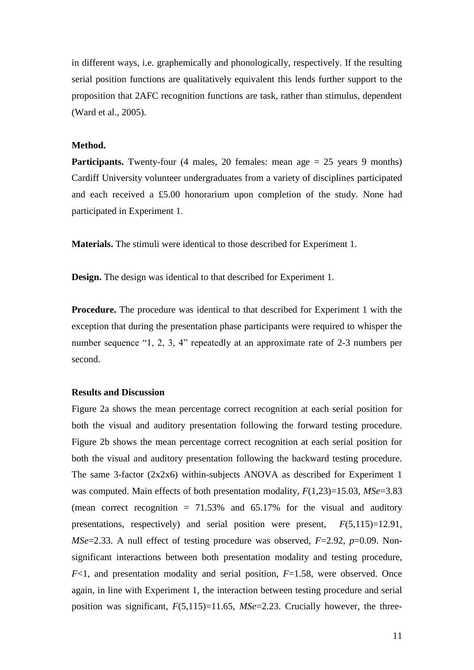in different ways, i.e. graphemically and phonologically, respectively. If the resulting serial position functions are qualitatively equivalent this lends further support to the proposition that 2AFC recognition functions are task, rather than stimulus, dependent (Ward et al., 2005).

#### **Method.**

**Participants.** Twenty-four (4 males, 20 females: mean age  $= 25$  years 9 months) Cardiff University volunteer undergraduates from a variety of disciplines participated and each received a £5.00 honorarium upon completion of the study. None had participated in Experiment 1.

**Materials.** The stimuli were identical to those described for Experiment 1.

**Design.** The design was identical to that described for Experiment 1.

**Procedure.** The procedure was identical to that described for Experiment 1 with the exception that during the presentation phase participants were required to whisper the number sequence "1, 2, 3, 4" repeatedly at an approximate rate of 2-3 numbers per second.

#### **Results and Discussion**

Figure 2a shows the mean percentage correct recognition at each serial position for both the visual and auditory presentation following the forward testing procedure. Figure 2b shows the mean percentage correct recognition at each serial position for both the visual and auditory presentation following the backward testing procedure. The same 3-factor (2x2x6) within-subjects ANOVA as described for Experiment 1 was computed. Main effects of both presentation modality, *F*(1,23)=15.03, *MSe*=3.83 (mean correct recognition  $= 71.53\%$  and 65.17% for the visual and auditory presentations, respectively) and serial position were present, *F*(5,115)=12.91*, MSe*=2.33. A null effect of testing procedure was observed, *F*=2.92, *p*=0.09. Nonsignificant interactions between both presentation modality and testing procedure, *F*<1, and presentation modality and serial position, *F*=1.58, were observed. Once again, in line with Experiment 1, the interaction between testing procedure and serial position was significant, *F*(5,115)=11.65, *MSe*=2.23. Crucially however, the three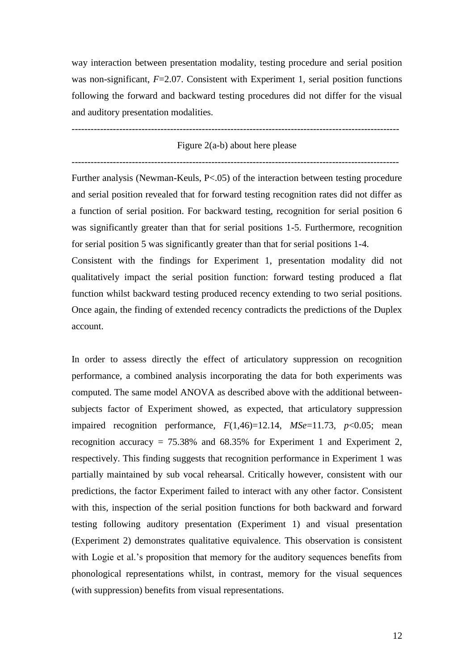way interaction between presentation modality, testing procedure and serial position was non-significant, *F*=2.07. Consistent with Experiment 1, serial position functions following the forward and backward testing procedures did not differ for the visual and auditory presentation modalities.

#### Figure 2(a-b) about here please

-------------------------------------------------------------------------------------------------------

-------------------------------------------------------------------------------------------------------

Further analysis (Newman-Keuls, P<.05) of the interaction between testing procedure and serial position revealed that for forward testing recognition rates did not differ as a function of serial position. For backward testing, recognition for serial position 6 was significantly greater than that for serial positions 1-5. Furthermore, recognition for serial position 5 was significantly greater than that for serial positions 1-4. Consistent with the findings for Experiment 1, presentation modality did not qualitatively impact the serial position function: forward testing produced a flat function whilst backward testing produced recency extending to two serial positions. Once again, the finding of extended recency contradicts the predictions of the Duplex account.

In order to assess directly the effect of articulatory suppression on recognition performance, a combined analysis incorporating the data for both experiments was computed. The same model ANOVA as described above with the additional betweensubjects factor of Experiment showed, as expected, that articulatory suppression impaired recognition performance,  $F(1,46)=12.14$ ,  $MSe=11.73$ ,  $p<0.05$ ; mean recognition accuracy =  $75.38\%$  and  $68.35\%$  for Experiment 1 and Experiment 2, respectively. This finding suggests that recognition performance in Experiment 1 was partially maintained by sub vocal rehearsal. Critically however, consistent with our predictions, the factor Experiment failed to interact with any other factor. Consistent with this, inspection of the serial position functions for both backward and forward testing following auditory presentation (Experiment 1) and visual presentation (Experiment 2) demonstrates qualitative equivalence. This observation is consistent with Logie et al.'s proposition that memory for the auditory sequences benefits from phonological representations whilst, in contrast, memory for the visual sequences (with suppression) benefits from visual representations.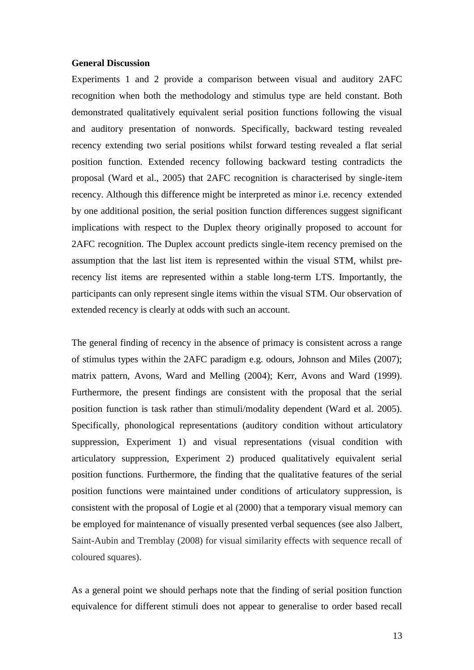#### **General Discussion**

Experiments 1 and 2 provide a comparison between visual and auditory 2AFC recognition when both the methodology and stimulus type are held constant. Both demonstrated qualitatively equivalent serial position functions following the visual and auditory presentation of nonwords. Specifically, backward testing revealed recency extending two serial positions whilst forward testing revealed a flat serial position function. Extended recency following backward testing contradicts the proposal (Ward et al., 2005) that 2AFC recognition is characterised by single-item recency. Although this difference might be interpreted as minor i.e. recency extended by one additional position, the serial position function differences suggest significant implications with respect to the Duplex theory originally proposed to account for 2AFC recognition. The Duplex account predicts single-item recency premised on the assumption that the last list item is represented within the visual STM, whilst prerecency list items are represented within a stable long-term LTS. Importantly, the participants can only represent single items within the visual STM. Our observation of extended recency is clearly at odds with such an account.

The general finding of recency in the absence of primacy is consistent across a range of stimulus types within the 2AFC paradigm e.g. odours, Johnson and Miles (2007); matrix pattern, Avons, Ward and Melling (2004); Kerr, Avons and Ward (1999). Furthermore, the present findings are consistent with the proposal that the serial position function is task rather than stimuli/modality dependent (Ward et al. 2005). Specifically, phonological representations (auditory condition without articulatory suppression, Experiment 1) and visual representations (visual condition with articulatory suppression, Experiment 2) produced qualitatively equivalent serial position functions. Furthermore, the finding that the qualitative features of the serial position functions were maintained under conditions of articulatory suppression, is consistent with the proposal of Logie et al (2000) that a temporary visual memory can be employed for maintenance of visually presented verbal sequences (see also Jalbert, Saint-Aubin and Tremblay (2008) for visual similarity effects with sequence recall of coloured squares).

As a general point we should perhaps note that the finding of serial position function equivalence for different stimuli does not appear to generalise to order based recall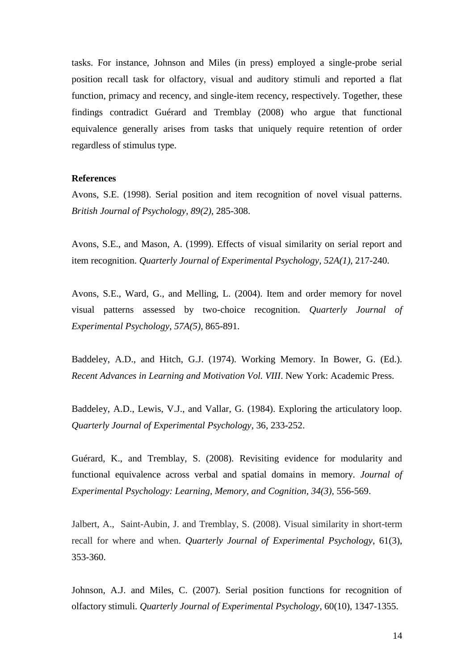tasks. For instance, Johnson and Miles (in press) employed a single-probe serial position recall task for olfactory, visual and auditory stimuli and reported a flat function, primacy and recency, and single-item recency, respectively. Together, these findings contradict Guérard and Tremblay (2008) who argue that functional equivalence generally arises from tasks that uniquely require retention of order regardless of stimulus type.

#### **References**

Avons, S.E. (1998). Serial position and item recognition of novel visual patterns. *British Journal of Psychology, 89(2)*, 285-308.

Avons, S.E., and Mason, A. (1999). Effects of visual similarity on serial report and item recognition. *Quarterly Journal of Experimental Psychology, 52A(1)*, 217-240.

Avons, S.E., Ward, G., and Melling, L. (2004). Item and order memory for novel visual patterns assessed by two-choice recognition. *Quarterly Journal of Experimental Psychology, 57A(5)*, 865-891.

Baddeley, A.D., and Hitch, G.J. (1974). Working Memory. In Bower, G. (Ed.). *Recent Advances in Learning and Motivation Vol. VIII*. New York: Academic Press.

Baddeley, A.D., Lewis, V.J., and Vallar, G. (1984). Exploring the articulatory loop. *Quarterly Journal of Experimental Psychology*, 36, 233-252.

Guérard, K., and Tremblay, S. (2008). Revisiting evidence for modularity and functional equivalence across verbal and spatial domains in memory. *Journal of Experimental Psychology: Learning, Memory, and Cognition, 34(3),* 556-569.

Jalbert, A., Saint-Aubin, J. and Tremblay, S. (2008). Visual similarity in short-term recall for where and when. *Quarterly Journal of Experimental Psychology*, 61(3), 353-360.

Johnson, A.J. and Miles, C. (2007). Serial position functions for recognition of olfactory stimuli. *Quarterly Journal of Experimental Psychology*, 60(10), 1347-1355.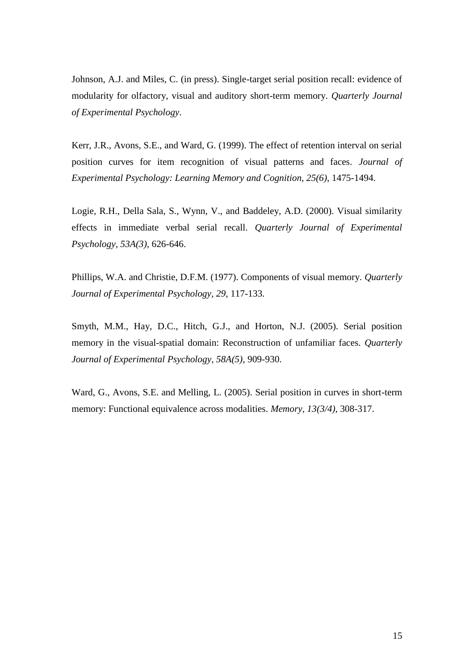Johnson, A.J. and Miles, C. (in press). Single-target serial position recall: evidence of modularity for olfactory, visual and auditory short-term memory. *Quarterly Journal of Experimental Psychology*.

Kerr, J.R., Avons, S.E., and Ward, G. (1999). The effect of retention interval on serial position curves for item recognition of visual patterns and faces. *Journal of Experimental Psychology: Learning Memory and Cognition, 25(6)*, 1475-1494.

Logie, R.H., Della Sala, S., Wynn, V., and Baddeley, A.D. (2000). Visual similarity effects in immediate verbal serial recall. *Quarterly Journal of Experimental Psychology, 53A(3)*, 626-646.

Phillips, W.A. and Christie, D.F.M. (1977). Components of visual memory. *Quarterly Journal of Experimental Psychology, 29*, 117-133.

Smyth, M.M., Hay, D.C., Hitch, G.J., and Horton, N.J. (2005). Serial position memory in the visual-spatial domain: Reconstruction of unfamiliar faces. *Quarterly Journal of Experimental Psychology, 58A(5)*, 909-930.

Ward, G., Avons, S.E. and Melling, L. (2005). Serial position in curves in short-term memory: Functional equivalence across modalities. *Memory, 13(3/4)*, 308-317.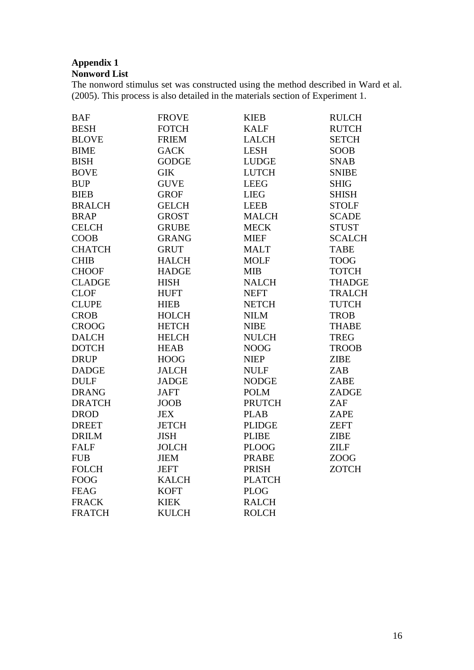### **Appendix 1 Nonword List**

The nonword stimulus set was constructed using the method described in Ward et al. (2005). This process is also detailed in the materials section of Experiment 1.

| <b>BAF</b>    | <b>FROVE</b> | <b>KIEB</b>   | <b>RULCH</b>  |
|---------------|--------------|---------------|---------------|
| <b>BESH</b>   | <b>FOTCH</b> | <b>KALF</b>   | <b>RUTCH</b>  |
| <b>BLOVE</b>  | <b>FRIEM</b> | <b>LALCH</b>  | <b>SETCH</b>  |
| <b>BIME</b>   | <b>GACK</b>  | <b>LESH</b>   | SOOB          |
| <b>BISH</b>   | <b>GODGE</b> | <b>LUDGE</b>  | <b>SNAB</b>   |
| <b>BOVE</b>   | <b>GIK</b>   | <b>LUTCH</b>  | <b>SNIBE</b>  |
| <b>BUP</b>    | <b>GUVE</b>  | <b>LEEG</b>   | <b>SHIG</b>   |
| <b>BIEB</b>   | <b>GROF</b>  | <b>LIEG</b>   | <b>SHISH</b>  |
| <b>BRALCH</b> | <b>GELCH</b> | <b>LEEB</b>   | <b>STOLF</b>  |
| <b>BRAP</b>   | <b>GROST</b> | <b>MALCH</b>  | <b>SCADE</b>  |
| <b>CELCH</b>  | <b>GRUBE</b> | <b>MECK</b>   | <b>STUST</b>  |
| <b>COOB</b>   | <b>GRANG</b> | <b>MIEF</b>   | <b>SCALCH</b> |
| <b>CHATCH</b> | <b>GRUT</b>  | <b>MALT</b>   | <b>TABE</b>   |
| <b>CHIB</b>   | <b>HALCH</b> | <b>MOLF</b>   | <b>TOOG</b>   |
| <b>CHOOF</b>  | <b>HADGE</b> | <b>MIB</b>    | <b>TOTCH</b>  |
| <b>CLADGE</b> | <b>HISH</b>  | <b>NALCH</b>  | <b>THADGE</b> |
| <b>CLOF</b>   | <b>HUFT</b>  | <b>NEFT</b>   | <b>TRALCH</b> |
| <b>CLUPE</b>  | <b>HIEB</b>  | <b>NETCH</b>  | <b>TUTCH</b>  |
| <b>CROB</b>   | <b>HOLCH</b> | <b>NILM</b>   | <b>TROB</b>   |
| <b>CROOG</b>  | <b>HETCH</b> | <b>NIBE</b>   | <b>THABE</b>  |
| <b>DALCH</b>  | <b>HELCH</b> | <b>NULCH</b>  | <b>TREG</b>   |
| <b>DOTCH</b>  | <b>HEAB</b>  | <b>NOOG</b>   | <b>TROOB</b>  |
| <b>DRUP</b>   | <b>HOOG</b>  | <b>NIEP</b>   | <b>ZIBE</b>   |
| <b>DADGE</b>  | <b>JALCH</b> | <b>NULF</b>   | ZAB           |
| <b>DULF</b>   | <b>JADGE</b> | <b>NODGE</b>  | ZABE          |
| <b>DRANG</b>  | <b>JAFT</b>  | <b>POLM</b>   | ZADGE         |
| <b>DRATCH</b> | <b>JOOB</b>  | <b>PRUTCH</b> | ZAF           |
| <b>DROD</b>   | <b>JEX</b>   | <b>PLAB</b>   | ZAPE          |
| <b>DREET</b>  | <b>JETCH</b> | <b>PLIDGE</b> | <b>ZEFT</b>   |
| <b>DRILM</b>  | <b>JISH</b>  | <b>PLIBE</b>  | <b>ZIBE</b>   |
| <b>FALF</b>   | <b>JOLCH</b> | <b>PLOOG</b>  | <b>ZILF</b>   |
| <b>FUB</b>    | <b>JIEM</b>  | <b>PRABE</b>  | <b>ZOOG</b>   |
| <b>FOLCH</b>  | <b>JEFT</b>  | PRISH         | <b>ZOTCH</b>  |
| <b>FOOG</b>   | <b>KALCH</b> | <b>PLATCH</b> |               |
| <b>FEAG</b>   | <b>KOFT</b>  | <b>PLOG</b>   |               |
| <b>FRACK</b>  | <b>KIEK</b>  | <b>RALCH</b>  |               |
| <b>FRATCH</b> | <b>KULCH</b> | <b>ROLCH</b>  |               |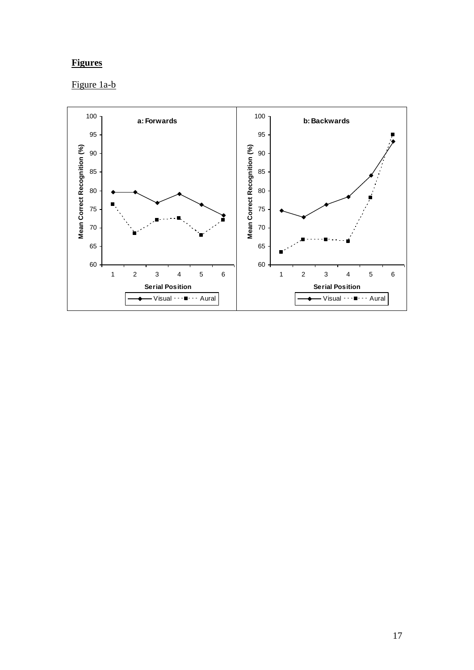# **Figures**

# Figure 1a-b

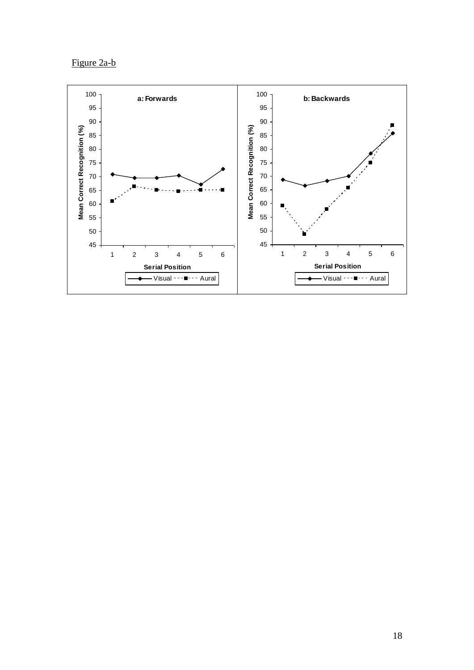Figure 2a-b